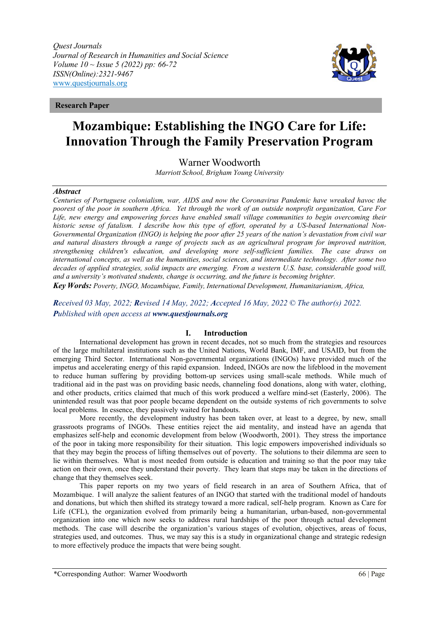*Quest Journals Journal of Research in Humanities and Social Science Volume 10 ~ Issue 5 (2022) pp: 66-72 ISSN(Online):2321-9467* [www.questjournals.org](http://www.questjournals.org/)



**Research Paper**

# **Mozambique: Establishing the INGO Care for Life: Innovation Through the Family Preservation Program**

Warner Woodworth

*Marriott School, Brigham Young University*

## *Abstract*

*Centuries of Portuguese colonialism, war, AIDS and now the Coronavirus Pandemic have wreaked havoc the poorest of the poor in southern Africa. Yet through the work of an outside nonprofit organization, Care For Life, new energy and empowering forces have enabled small village communities to begin overcoming their historic sense of fatalism. I describe how this type of effort, operated by a US-based International Non-Governmental Organization (INGO) is helping the poor after 25 years of the nation's devastation from civil war and natural disasters through a range of projects such as an agricultural program for improved nutrition, strengthening children's education, and developing more self-sufficient families. The case draws on international concepts, as well as the humanities, social sciences, and intermediate technology. After some two decades of applied strategies, solid impacts are emerging. From a western U.S. base, considerable good will, and a university's motivated students, change is occurring, and the future is becoming brighter.*

*Key Words: Poverty, INGO, Mozambique, Family, International Development, Humanitarianism, Africa,*

*Received 03 May, 2022; Revised 14 May, 2022; Accepted 16 May, 2022 © The author(s) 2022. Published with open access at [www.questjournals.org](http://www.questjournals.org/)*

# **I. Introduction**

International development has grown in recent decades, not so much from the strategies and resources of the large multilateral institutions such as the United Nations, World Bank, IMF, and USAID, but from the emerging Third Sector. International Non-governmental organizations (INGOs) have provided much of the impetus and accelerating energy of this rapid expansion. Indeed, INGOs are now the lifeblood in the movement to reduce human suffering by providing bottom-up services using small-scale methods. While much of traditional aid in the past was on providing basic needs, channeling food donations, along with water, clothing, and other products, critics claimed that much of this work produced a welfare mind-set (Easterly, 2006). The unintended result was that poor people became dependent on the outside systems of rich governments to solve local problems. In essence, they passively waited for handouts.

More recently, the development industry has been taken over, at least to a degree, by new, small grassroots programs of INGOs. These entities reject the aid mentality, and instead have an agenda that emphasizes self-help and economic development from below (Woodworth, 2001). They stress the importance of the poor in taking more responsibility for their situation. This logic empowers impoverished individuals so that they may begin the process of lifting themselves out of poverty. The solutions to their dilemma are seen to lie within themselves. What is most needed from outside is education and training so that the poor may take action on their own, once they understand their poverty. They learn that steps may be taken in the directions of change that they themselves seek.

This paper reports on my two years of field research in an area of Southern Africa, that of Mozambique. I will analyze the salient features of an INGO that started with the traditional model of handouts and donations, but which then shifted its strategy toward a more radical, self-help program. Known as Care for Life (CFL), the organization evolved from primarily being a humanitarian, urban-based, non-governmental organization into one which now seeks to address rural hardships of the poor through actual development methods. The case will describe the organization's various stages of evolution, objectives, areas of focus, strategies used, and outcomes. Thus, we may say this is a study in organizational change and strategic redesign to more effectively produce the impacts that were being sought.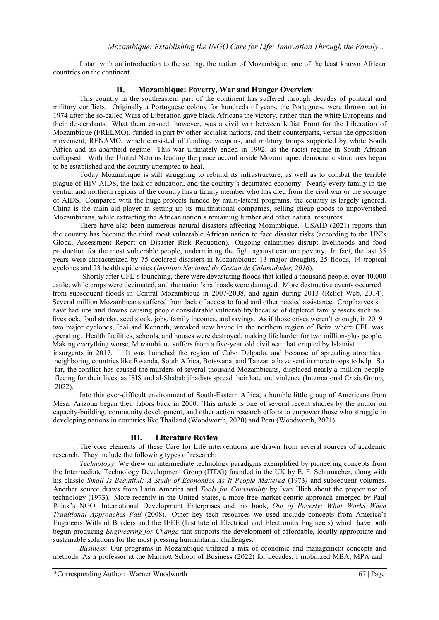I start with an introduction to the setting, the nation of Mozambique, one of the least known African countries on the continent.

## **II. Mozambique: Poverty, War and Hunger Overview**

This country in the southeastern part of the continent has suffered through decades of political and military conflicts. Originally a Portuguese colony for hundreds of years, the Portuguese were thrown out in 1974 after the so-called Wars of Liberation gave black Africans the victory, rather than the white Europeans and their descendants. What them ensued, however, was a civil war between leftist Front for the Liberation of Mozambique (FRELMO), funded in part by other socialist nations, and their counterparts, versus the opposition movement, RENAMO, which consisted of funding, weapons, and military troops supported by white South Africa and its apartheid regime. This war ultimately ended in 1992, as the racist regime in South African collapsed. With the United Nations leading the peace accord inside Mozambique, democratic structures began to be established and the country attempted to heal.

Today Mozambique is still struggling to rebuild its infrastructure, as well as to combat the terrible plague of HIV-AIDS, the lack of education, and the country's decimated economy. Nearly every family in the central and northern regions of the country has a family member who has died from the civil war or the scourge of AIDS. Compared with the huge projects funded by multi-lateral programs, the country is largely ignored. China is the main aid player in setting up its multinational companies, selling cheap goods to impoverished Mozambicans, while extracting the African nation's remaining lumber and other natural resources.

There have also been numerous natural disasters affecting Mozambique. USAID (2021) reports that the country has become the third most vulnerable African nation to face disaster risks (according to the UN's Global Assessment Report on Disaster Risk Reduction). Ongoing calamities disrupt livelihoods and food production for the most vulnerable people, undermining the fight against extreme poverty. In fact, the last 35 years were characterized by 75 declared disasters in Mozambique: 13 major droughts, 25 floods, 14 tropical cyclones and 23 health epidemics (*Instituto Nacional de Gestao de Calamidades, 2016*).

 Shortly after CFL's launching, there were devastating floods that killed a thousand people, over 40,000 cattle, while crops were decimated, and the nation's railroads were damaged. More destructive events occurred from subsequent floods in Central Mozambique in 2007-2008, and again during 2013 (Relief Web, 2014). Several million Mozambicans suffered from lack of access to food and other needed assistance. Crop harvests have had ups and downs causing people considerable vulnerability because of depleted family assets such as livestock, food stocks, seed stock, jobs, family incomes, and savings. As if those crises weren't enough, in 2019 two major cyclones, Idai and Kenneth, wreaked new havoc in the northern region of Beira where CFL was operating. Health facilities, schools, and houses were destroyed, making life harder for two million-plus people. Making everything worse, Mozambique suffers from a five-year old civil war that erupted by Islamist insurgents in 2017. It was launched the region of Cabo Delgado, and because of spreading atrocities, neighboring countries like Rwanda, South Africa, Botswana, and Tanzania have sent in more troops to help. So far, the conflict has caused the murders of several thousand Mozambicans, displaced nearly a million people fleeing for their lives, as ISIS and al-Shabab jihadists spread their hate and violence (International Crisis Group, 2022).

Into this ever-difficult environment of South-Eastern Africa, a humble little group of Americans from Mesa, Arizona began their labors back in 2000. This article is one of several recent studies by the author on capacity-building, community development, and other action research efforts to empower those who struggle in developing nations in countries like Thailand (Woodworth, 2020) and Peru (Woodworth, 2021).

# **III. Literature Review**

The core elements of these Care for Life interventions are drawn from several sources of academic research. They include the following types of research:

*Technology:* We drew on intermediate technology paradigms exemplified by pioneering concepts from the [Intermediate Technology Development Group \(](https://en.wikipedia.org/wiki/Intermediate_Technology_Development_Group)ITDG) founded in the UK by E. F. Schumacher, along with his classic *Small Is Beautiful: A Study of Economics As If People Mattered* (1973) and subsequent volumes. Another source draws from Latin America and *Tools for Conviviality* by [Ivan Illich a](https://en.wikipedia.org/wiki/Ivan_Illich)bout the proper use of technology (1973). More recently in the United States, a more [free market-](https://en.wikipedia.org/wiki/Free_market)centric approach emerged by [Paul](https://en.wikipedia.org/wiki/Paul_Polak) [Polak'](https://en.wikipedia.org/wiki/Paul_Polak)s NGO, [International Development Enterprises](https://en.wikipedia.org/wiki/International_Development_Enterprises) and his book, *Out of Poverty: What Works When Traditional Approaches Fail* (2008). Other key tech resources we used include concepts from America's Engineers Without Borders and the [IEEE](https://en.wikipedia.org/wiki/IEEE) (Institute of Electrical and Electronics Engineers) which have both begun producing *[Engineering for Change](https://en.wikipedia.org/wiki/Engineering_for_Change)* that supports the development of affordable, locally appropriate and sustainable solutions for the most pressing humanitarian challenges.

*Business:* Our programs in Mozambique utilized a mix of economic and management concepts and methods. As a professor at the Marriott School of Business (2022) for decades, I mobilized MBA, MPA and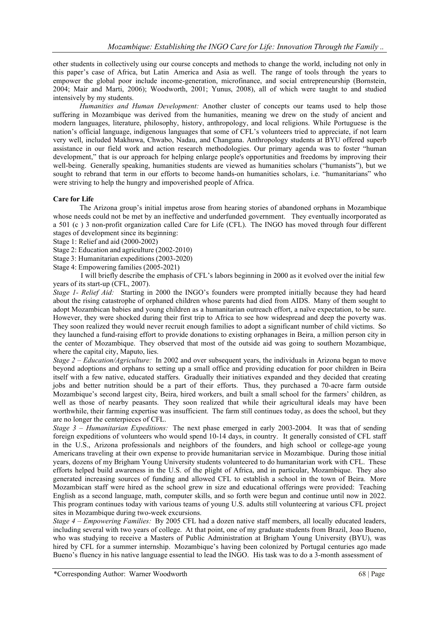other students in collectively using our course concepts and methods to change the world, including not only in this paper's case of Africa, but Latin America and Asia as well. The range of tools through the years to empower the global poor include income-generation, microfinance, and social entrepreneurship (Bornstein, 2004; Mair and Marti, 2006); Woodworth, 2001; Yunus, 2008), all of which were taught to and studied intensively by my students.

*Humanities and Human Development:* Another cluster of concepts our teams used to help those suffering in Mozambique was derived from the humanities, meaning we drew on the study of ancient and modern languages, literature, philosophy, history, anthropology, and local religions. While Portuguese is the nation's official language, indigenous languages that some of CFL's volunteers tried to appreciate, if not learn very well, included Makhuwa, Chwabo, Nadau, and Changana. Anthropology students at BYU offered superb assistance in our field work and action research methodologies. Our primary agenda was to foster "human development," that is our approach for helping enlarge people's opportunities and freedoms by improving their well-being. Generally speaking, humanities students are viewed as humanities scholars ("humanists"), but we sought to rebrand that term in our efforts to become hands-on humanities scholars, i.e. "humanitarians" who were striving to help the hungry and impoverished people of Africa.

# **Care for Life**

The Arizona group's initial impetus arose from hearing stories of abandoned orphans in Mozambique whose needs could not be met by an ineffective and underfunded government. They eventually incorporated as a 501 (c ) 3 non-profit organization called Care for Life (CFL). The INGO has moved through four different stages of development since its beginning:

- Stage 1: Relief and aid (2000-2002)
- Stage 2: Education and agriculture (2002-2010)
- Stage 3: Humanitarian expeditions (2003-2020)
- Stage 4: Empowering families (2005-2021)

 I will briefly describe the emphasis of CFL's labors beginning in 2000 as it evolved over the initial few years of its start-up (CFL, 2007).

*Stage 1- Relief Aid:* Starting in 2000 the INGO's founders were prompted initially because they had heard about the rising catastrophe of orphaned children whose parents had died from AIDS. Many of them sought to adopt Mozambican babies and young children as a humanitarian outreach effort, a naïve expectation, to be sure. However, they were shocked during their first trip to Africa to see how widespread and deep the poverty was. They soon realized they would never recruit enough families to adopt a significant number of child victims. So they launched a fund-raising effort to provide donations to existing orphanages in Beira, a million person city in the center of Mozambique. They observed that most of the outside aid was going to southern Mozambique, where the capital city, Maputo, lies.

*Stage 2 – Education/Agriculture:* In 2002 and over subsequent years, the individuals in Arizona began to move beyond adoptions and orphans to setting up a small office and providing education for poor children in Beira itself with a few native, educated staffers. Gradually their initiatives expanded and they decided that creating jobs and better nutrition should be a part of their efforts. Thus, they purchased a 70-acre farm outside Mozambique's second largest city, Beira, hired workers, and built a small school for the farmers' children, as well as those of nearby peasants. They soon realized that while their agricultural ideals may have been worthwhile, their farming expertise was insufficient. The farm still continues today, as does the school, but they are no longer the centerpieces of CFL.

*Stage 3 – Humanitarian Expeditions:* The next phase emerged in early 2003-2004. It was that of sending foreign expeditions of volunteers who would spend 10-14 days, in country. It generally consisted of CFL staff in the U.S., Arizona professionals and neighbors of the founders, and high school or college-age young Americans traveling at their own expense to provide humanitarian service in Mozambique. During those initial years, dozens of my Brigham Young University students volunteered to do humanitarian work with CFL. These efforts helped build awareness in the U.S. of the plight of Africa, and in particular, Mozambique. They also generated increasing sources of funding and allowed CFL to establish a school in the town of Beira. More Mozambican staff were hired as the school grew in size and educational offerings were provided: Teaching English as a second language, math, computer skills, and so forth were begun and continue until now in 2022. This program continues today with various teams of young U.S. adults still volunteering at various CFL project sites in Mozambique during two-week excursions.

*Stage 4 – Empowering Families:* By 2005 CFL had a dozen native staff members, all locally educated leaders, including several with two years of college. At that point, one of my graduate students from Brazil, Joao Bueno, who was studying to receive a Masters of Public Administration at Brigham Young University (BYU), was hired by CFL for a summer internship. Mozambique's having been colonized by Portugal centuries ago made Bueno's fluency in his native language essential to lead the INGO. His task was to do a 3-month assessment of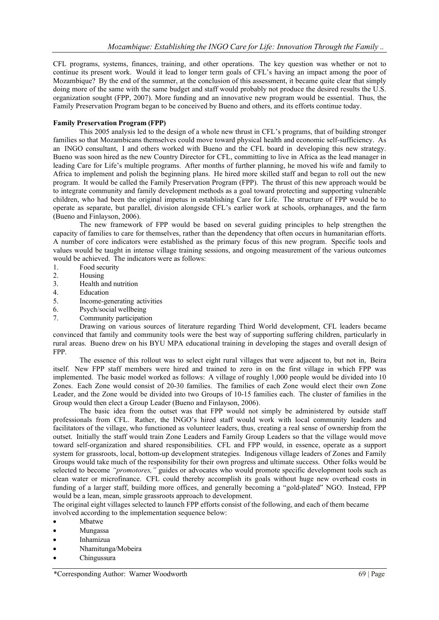CFL programs, systems, finances, training, and other operations. The key question was whether or not to continue its present work. Would it lead to longer term goals of CFL's having an impact among the poor of Mozambique? By the end of the summer, at the conclusion of this assessment, it became quite clear that simply doing more of the same with the same budget and staff would probably not produce the desired results the U.S. organization sought (FPP, 2007). More funding and an innovative new program would be essential. Thus, the Family Preservation Program began to be conceived by Bueno and others, and its efforts continue today.

## **Family Preservation Program (FPP)**

This 2005 analysis led to the design of a whole new thrust in CFL's programs, that of building stronger families so that Mozambicans themselves could move toward physical health and economic self-sufficiency. As an INGO consultant, I and others worked with Bueno and the CFL board in developing this new strategy. Bueno was soon hired as the new Country Director for CFL, committing to live in Africa as the lead manager in leading Care for Life's multiple programs. After months of further planning, he moved his wife and family to Africa to implement and polish the beginning plans. He hired more skilled staff and began to roll out the new program. It would be called the Family Preservation Program (FPP). The thrust of this new approach would be to integrate community and family development methods as a goal toward protecting and supporting vulnerable children, who had been the original impetus in establishing Care for Life. The structure of FPP would be to operate as separate, but parallel, division alongside CFL's earlier work at schools, orphanages, and the farm (Bueno and Finlayson, 2006).

The new framework of FPP would be based on several guiding principles to help strengthen the capacity of families to care for themselves, rather than the dependency that often occurs in humanitarian efforts. A number of core indicators were established as the primary focus of this new program. Specific tools and values would be taught in intense village training sessions, and ongoing measurement of the various outcomes would be achieved. The indicators were as follows:

- 1. Food security
- 2. Housing
- 3. Health and nutrition<br>4. Education
- **Education**
- 5. Income-generating activities
- 6. Psych/social wellbeing
- 7. Community participation

Drawing on various sources of literature regarding Third World development, CFL leaders became convinced that family and community tools were the best way of supporting suffering children, particularly in rural areas. Bueno drew on his BYU MPA educational training in developing the stages and overall design of FPP.

The essence of this rollout was to select eight rural villages that were adjacent to, but not in, Beira itself. New FPP staff members were hired and trained to zero in on the first village in which FPP was implemented. The basic model worked as follows: A village of roughly 1,000 people would be divided into 10 Zones. Each Zone would consist of 20-30 families. The families of each Zone would elect their own Zone Leader, and the Zone would be divided into two Groups of 10-15 families each. The cluster of families in the Group would then elect a Group Leader (Bueno and Finlayson, 2006).

The basic idea from the outset was that FPP would not simply be administered by outside staff professionals from CFL. Rather, the INGO's hired staff would work with local community leaders and facilitators of the village, who functioned as volunteer leaders, thus, creating a real sense of ownership from the outset. Initially the staff would train Zone Leaders and Family Group Leaders so that the village would move toward self-organization and shared responsibilities. CFL and FPP would, in essence, operate as a support system for grassroots, local, bottom-up development strategies. Indigenous village leaders of Zones and Family Groups would take much of the responsibility for their own progress and ultimate success. Other folks would be selected to become *"promotores,"* guides or advocates who would promote specific development tools such as clean water or microfinance. CFL could thereby accomplish its goals without huge new overhead costs in funding of a larger staff, building more offices, and generally becoming a "gold-plated" NGO. Instead, FPP would be a lean, mean, simple grassroots approach to development.

The original eight villages selected to launch FPP efforts consist of the following, and each of them became involved according to the implementation sequence below:

- Mbatwe
- Mungassa
- Inhamizua
- Nhamitunga/Mobeira
- Chingussura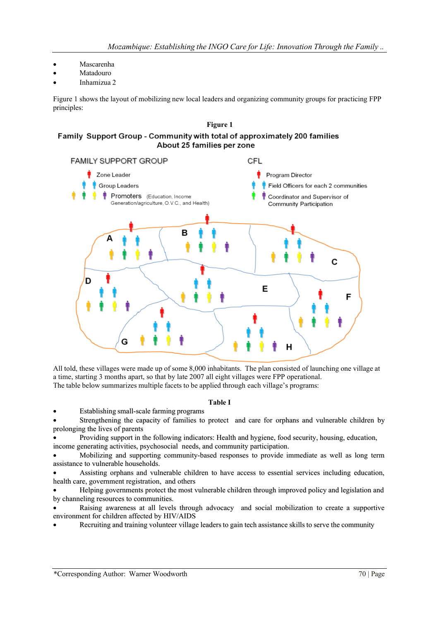- Mascarenha
- Matadouro
- Inhamizua 2

Figure 1 shows the layout of mobilizing new local leaders and organizing community groups for practicing FPP principles:

# **Figure 1**

# Family Support Group - Community with total of approximately 200 families About 25 families per zone



All told, these villages were made up of some 8,000 inhabitants. The plan consisted of launching one village at a time, starting 3 months apart, so that by late 2007 all eight villages were FPP operational. The table below summarizes multiple facets to be applied through each village's programs:

## **Table I**

• Establishing small-scale farming programs

• Strengthening the capacity of families to protect and care for orphans and vulnerable children by prolonging the lives of parents

• Providing support in the following indicators: Health and hygiene, food security, housing, education, income generating activities, psychosocial needs, and community participation.

• Mobilizing and supporting community-based responses to provide immediate as well as long term assistance to vulnerable households.

• Assisting orphans and vulnerable children to have access to essential services including education, health care, government registration, and others

• Helping governments protect the most vulnerable children through improved policy and legislation and by channeling resources to communities.

• Raising awareness at all levels through advocacy and social mobilization to create a supportive environment for children affected by HIV/AIDS

• Recruiting and training volunteer village leaders to gain tech assistance skills to serve the community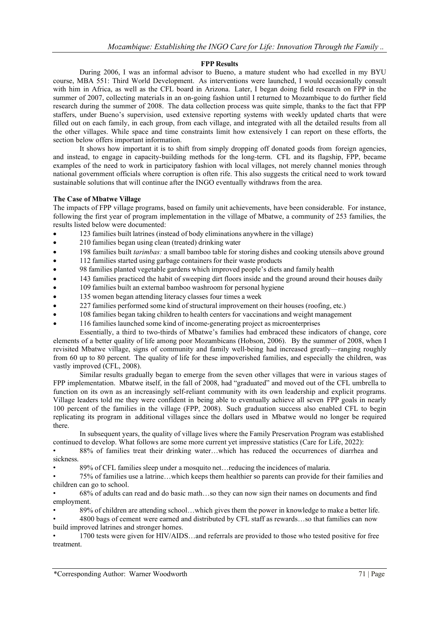## **FPP Results**

During 2006, I was an informal advisor to Bueno, a mature student who had excelled in my BYU course, MBA 551: Third World Development. As interventions were launched, I would occasionally consult with him in Africa, as well as the CFL board in Arizona. Later, I began doing field research on FPP in the summer of 2007, collecting materials in an on-going fashion until I returned to Mozambique to do further field research during the summer of 2008. The data collection process was quite simple, thanks to the fact that FPP staffers, under Bueno's supervision, used extensive reporting systems with weekly updated charts that were filled out on each family, in each group, from each village, and integrated with all the detailed results from all the other villages. While space and time constraints limit how extensively I can report on these efforts, the section below offers important information.

It shows how important it is to shift from simply dropping off donated goods from foreign agencies, and instead, to engage in capacity-building methods for the long-term. CFL and its flagship, FPP, became examples of the need to work in participatory fashion with local villages, not merely channel monies through national government officials where corruption is often rife. This also suggests the critical need to work toward sustainable solutions that will continue after the INGO eventually withdraws from the area.

## **The Case of Mbatwe Village**

The impacts of FPP village programs, based on family unit achievements, have been considerable. For instance, following the first year of program implementation in the village of Mbatwe, a community of 253 families, the results listed below were documented:

- 123 families built latrines (instead of body eliminations anywhere in the village)
- 210 families began using clean (treated) drinking water
- 198 families built *tarimbas:* a small bamboo table for storing dishes and cooking utensils above ground
- 112 families started using garbage containers for their waste products
- 98 families planted vegetable gardens which improved people's diets and family health
- 143 families practiced the habit of sweeping dirt floors inside and the ground around their houses daily
- 109 families built an external bamboo washroom for personal hygiene
- 135 women began attending literacy classes four times a week
- 227 families performed some kind of structural improvement on their houses (roofing, etc.)
- 108 families began taking children to health centers for vaccinations and weight management
- 116 families launched some kind of income-generating project as microenterprises

Essentially, a third to two-thirds of Mbatwe's families had embraced these indicators of change, core elements of a better quality of life among poor Mozambicans (Hobson, 2006). By the summer of 2008, when I revisited Mbatwe village, signs of community and family well-being had increased greatly—ranging roughly from 60 up to 80 percent. The quality of life for these impoverished families, and especially the children, was vastly improved (CFL, 2008).

Similar results gradually began to emerge from the seven other villages that were in various stages of FPP implementation. Mbatwe itself, in the fall of 2008, had "graduated" and moved out of the CFL umbrella to function on its own as an increasingly self-reliant community with its own leadership and explicit programs. Village leaders told me they were confident in being able to eventually achieve all seven FPP goals in nearly 100 percent of the families in the village (FPP, 2008). Such graduation success also enabled CFL to begin replicating its program in additional villages since the dollars used in Mbatwe would no longer be required there.

In subsequent years, the quality of village lives where the Family Preservation Program was established continued to develop. What follows are some more current yet impressive statistics (Care for Life, 2022):

• 88% of families treat their drinking water…which has reduced the occurrences of diarrhea and sickness.

• 89% of CFL families sleep under a mosquito net…reducing the incidences of malaria.

• 75% of families use a latrine…which keeps them healthier so parents can provide for their families and children can go to school.

• 68% of adults can read and do basic math…so they can now sign their names on documents and find employment.

• 89% of children are attending school…which gives them the power in knowledge to make a better life.

• 4800 bags of cement were earned and distributed by CFL staff as rewards…so that families can now build improved latrines and stronger homes.

• 1700 tests were given for HIV/AIDS…and referrals are provided to those who tested positive for free treatment.